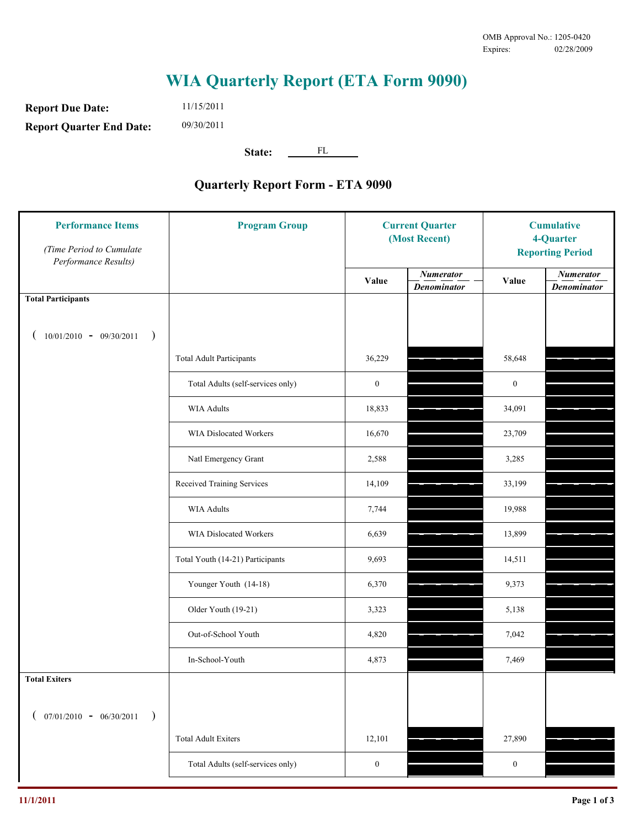## **WIA Quarterly Report (ETA Form 9090)**

FL

**Report Due Date: Report Quarter End Date:** 11/15/2011 09/30/2011

State:

## **Quarterly Report Form - ETA 9090**

| <b>Performance Items</b><br>(Time Period to Cumulate<br>Performance Results) | <b>Program Group</b>              | <b>Current Quarter</b><br>(Most Recent) |                                        | <b>Cumulative</b><br>4-Quarter<br><b>Reporting Period</b> |                                        |
|------------------------------------------------------------------------------|-----------------------------------|-----------------------------------------|----------------------------------------|-----------------------------------------------------------|----------------------------------------|
|                                                                              |                                   | Value                                   | <b>Numerator</b><br><b>Denominator</b> | Value                                                     | <b>Numerator</b><br><b>Denominator</b> |
| <b>Total Participants</b>                                                    |                                   |                                         |                                        |                                                           |                                        |
| $10/01/2010 - 09/30/2011$<br>$\big)$                                         |                                   |                                         |                                        |                                                           |                                        |
|                                                                              | <b>Total Adult Participants</b>   | 36,229                                  |                                        | 58,648                                                    |                                        |
|                                                                              | Total Adults (self-services only) | $\boldsymbol{0}$                        |                                        | $\boldsymbol{0}$                                          |                                        |
|                                                                              | <b>WIA Adults</b>                 | 18,833                                  |                                        | 34,091                                                    |                                        |
|                                                                              | WIA Dislocated Workers            | 16,670                                  |                                        | 23,709                                                    |                                        |
|                                                                              | Natl Emergency Grant              | 2,588                                   |                                        | 3,285                                                     |                                        |
|                                                                              | Received Training Services        | 14,109                                  |                                        | 33,199                                                    |                                        |
|                                                                              | <b>WIA Adults</b>                 | 7,744                                   |                                        | 19,988                                                    |                                        |
|                                                                              | WIA Dislocated Workers            | 6,639                                   |                                        | 13,899                                                    |                                        |
|                                                                              | Total Youth (14-21) Participants  | 9,693                                   |                                        | 14,511                                                    |                                        |
|                                                                              | Younger Youth (14-18)             | 6,370                                   |                                        | 9,373                                                     |                                        |
|                                                                              | Older Youth (19-21)               | 3,323                                   |                                        | 5,138                                                     |                                        |
|                                                                              | Out-of-School Youth               | 4,820                                   |                                        | 7,042                                                     |                                        |
|                                                                              | In-School-Youth                   | 4,873                                   |                                        | 7,469                                                     |                                        |
| <b>Total Exiters</b>                                                         |                                   |                                         |                                        |                                                           |                                        |
| $07/01/2010 - 06/30/2011$<br>$\rightarrow$                                   |                                   |                                         |                                        |                                                           |                                        |
|                                                                              | <b>Total Adult Exiters</b>        | 12,101                                  |                                        | 27,890                                                    |                                        |
|                                                                              | Total Adults (self-services only) | $\boldsymbol{0}$                        |                                        | $\boldsymbol{0}$                                          |                                        |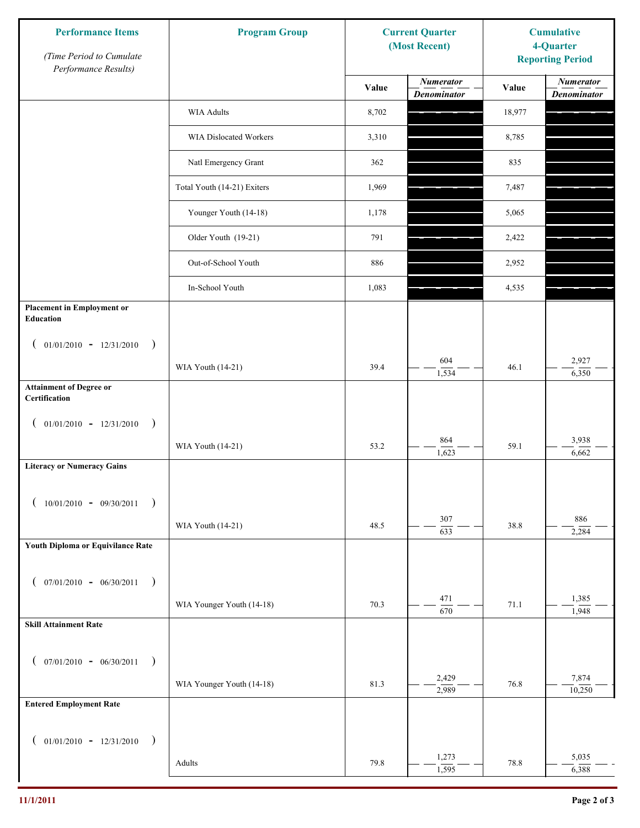| <b>Performance Items</b><br>(Time Period to Cumulate<br>Performance Results) | <b>Program Group</b>        | <b>Current Quarter</b><br>(Most Recent) |                                        | <b>Cumulative</b><br>4-Quarter<br><b>Reporting Period</b> |                                        |
|------------------------------------------------------------------------------|-----------------------------|-----------------------------------------|----------------------------------------|-----------------------------------------------------------|----------------------------------------|
|                                                                              |                             | Value                                   | <b>Numerator</b><br><b>Denominator</b> | Value                                                     | <b>Numerator</b><br><b>Denominator</b> |
|                                                                              | WIA Adults                  | 8,702                                   |                                        | 18,977                                                    |                                        |
|                                                                              | WIA Dislocated Workers      | 3,310                                   |                                        | 8,785                                                     |                                        |
|                                                                              | Natl Emergency Grant        | 362                                     |                                        | 835                                                       |                                        |
|                                                                              | Total Youth (14-21) Exiters | 1,969                                   |                                        | 7,487                                                     |                                        |
|                                                                              | Younger Youth (14-18)       | 1,178                                   |                                        | 5,065                                                     |                                        |
|                                                                              | Older Youth (19-21)         | 791                                     |                                        | 2,422                                                     |                                        |
|                                                                              | Out-of-School Youth         | 886                                     |                                        | 2,952                                                     |                                        |
|                                                                              | In-School Youth             | 1,083                                   |                                        | 4,535                                                     |                                        |
| <b>Placement in Employment or</b><br>Education                               |                             |                                         |                                        |                                                           |                                        |
| $01/01/2010 - 12/31/2010$ )<br>€                                             |                             |                                         |                                        |                                                           |                                        |
|                                                                              | WIA Youth (14-21)           | 39.4                                    | 604<br>1,534                           | 46.1                                                      | 2,927<br>6,350                         |
| <b>Attainment of Degree or</b><br>Certification                              |                             |                                         |                                        |                                                           |                                        |
| $01/01/2010 - 12/31/2010$<br>$\big)$<br>$\overline{ }$                       |                             |                                         |                                        |                                                           |                                        |
|                                                                              | WIA Youth (14-21)           | 53.2                                    | 864<br>1,623                           | 59.1                                                      | 3,938<br>6,662                         |
| <b>Literacy or Numeracy Gains</b>                                            |                             |                                         |                                        |                                                           |                                        |
| $10/01/2010 - 09/30/2011$                                                    |                             |                                         |                                        |                                                           |                                        |
|                                                                              | WIA Youth (14-21)           | 48.5                                    | 307<br>$\sqrt{633}$                    | 38.8                                                      | 886<br>2,284                           |
| Youth Diploma or Equivilance Rate                                            |                             |                                         |                                        |                                                           |                                        |
| $07/01/2010 - 06/30/2011$ )<br>€                                             |                             |                                         |                                        |                                                           |                                        |
|                                                                              | WIA Younger Youth (14-18)   | 70.3                                    | 471                                    | 71.1                                                      | 1,385                                  |
| <b>Skill Attainment Rate</b>                                                 |                             |                                         | 670                                    |                                                           | 1,948                                  |
|                                                                              |                             |                                         |                                        |                                                           |                                        |
| $07/01/2010 - 06/30/2011$<br>$\lambda$<br>$\overline{ }$                     |                             |                                         | 2,429                                  |                                                           | 7,874                                  |
| <b>Entered Employment Rate</b>                                               | WIA Younger Youth (14-18)   | 81.3                                    | 2,989                                  | 76.8                                                      | 10,250                                 |
|                                                                              |                             |                                         |                                        |                                                           |                                        |
| $01/01/2010 - 12/31/2010$<br>$\lambda$<br>€                                  |                             |                                         |                                        |                                                           |                                        |
|                                                                              | Adults                      | 79.8                                    | 1,273<br>1,595                         | 78.8                                                      | 5,035<br>6,388                         |